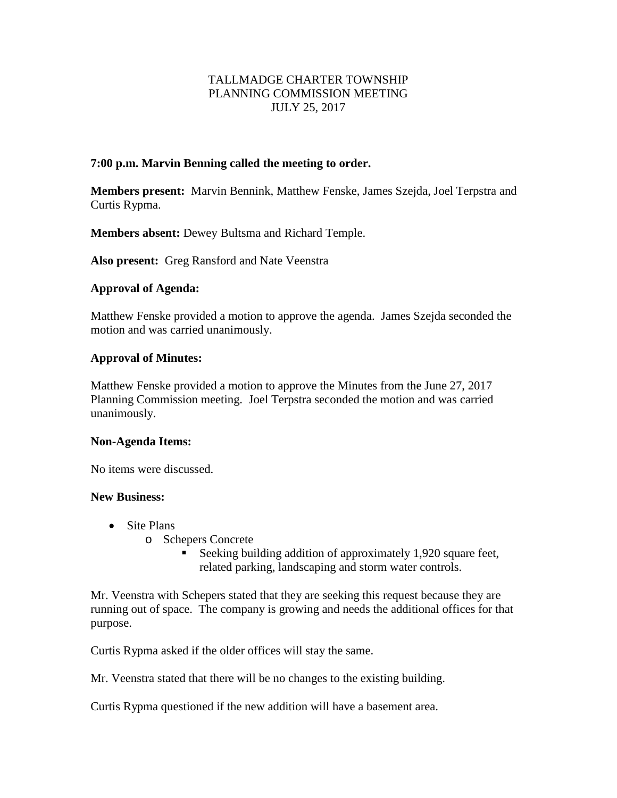# TALLMADGE CHARTER TOWNSHIP PLANNING COMMISSION MEETING JULY 25, 2017

## **7:00 p.m. Marvin Benning called the meeting to order.**

**Members present:** Marvin Bennink, Matthew Fenske, James Szejda, Joel Terpstra and Curtis Rypma.

**Members absent:** Dewey Bultsma and Richard Temple.

**Also present:** Greg Ransford and Nate Veenstra

### **Approval of Agenda:**

Matthew Fenske provided a motion to approve the agenda. James Szejda seconded the motion and was carried unanimously.

### **Approval of Minutes:**

Matthew Fenske provided a motion to approve the Minutes from the June 27, 2017 Planning Commission meeting. Joel Terpstra seconded the motion and was carried unanimously.

#### **Non-Agenda Items:**

No items were discussed.

## **New Business:**

- Site Plans
	- o Schepers Concrete
		- Seeking building addition of approximately 1,920 square feet, related parking, landscaping and storm water controls.

Mr. Veenstra with Schepers stated that they are seeking this request because they are running out of space. The company is growing and needs the additional offices for that purpose.

Curtis Rypma asked if the older offices will stay the same.

Mr. Veenstra stated that there will be no changes to the existing building.

Curtis Rypma questioned if the new addition will have a basement area.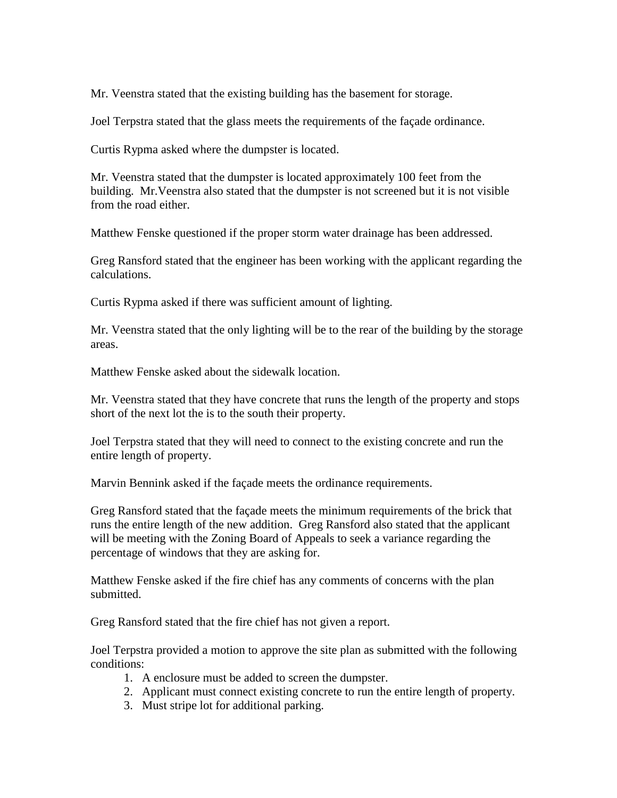Mr. Veenstra stated that the existing building has the basement for storage.

Joel Terpstra stated that the glass meets the requirements of the façade ordinance.

Curtis Rypma asked where the dumpster is located.

Mr. Veenstra stated that the dumpster is located approximately 100 feet from the building. Mr.Veenstra also stated that the dumpster is not screened but it is not visible from the road either.

Matthew Fenske questioned if the proper storm water drainage has been addressed.

Greg Ransford stated that the engineer has been working with the applicant regarding the calculations.

Curtis Rypma asked if there was sufficient amount of lighting.

Mr. Veenstra stated that the only lighting will be to the rear of the building by the storage areas.

Matthew Fenske asked about the sidewalk location.

Mr. Veenstra stated that they have concrete that runs the length of the property and stops short of the next lot the is to the south their property.

Joel Terpstra stated that they will need to connect to the existing concrete and run the entire length of property.

Marvin Bennink asked if the façade meets the ordinance requirements.

Greg Ransford stated that the façade meets the minimum requirements of the brick that runs the entire length of the new addition. Greg Ransford also stated that the applicant will be meeting with the Zoning Board of Appeals to seek a variance regarding the percentage of windows that they are asking for.

Matthew Fenske asked if the fire chief has any comments of concerns with the plan submitted.

Greg Ransford stated that the fire chief has not given a report.

Joel Terpstra provided a motion to approve the site plan as submitted with the following conditions:

- 1. A enclosure must be added to screen the dumpster.
- 2. Applicant must connect existing concrete to run the entire length of property.
- 3. Must stripe lot for additional parking.